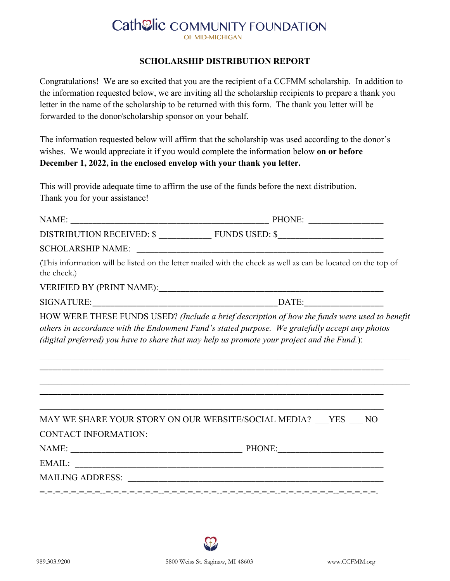## **Cath@lic COMMUNITY FOUNDATION** OF MID-MICHIGAN

## **SCHOLARSHIP DISTRIBUTION REPORT**

Congratulations! We are so excited that you are the recipient of a CCFMM scholarship. In addition to the information requested below, we are inviting all the scholarship recipients to prepare a thank you letter in the name of the scholarship to be returned with this form. The thank you letter will be forwarded to the donor/scholarship sponsor on your behalf.

The information requested below will affirm that the scholarship was used according to the donor's wishes. We would appreciate it if you would complete the information below **on or before December 1, 2022, in the enclosed envelop with your thank you letter.** 

This will provide adequate time to affirm the use of the funds before the next distribution. Thank you for your assistance!

| the check.)          | (This information will be listed on the letter mailed with the check as well as can be located on the top of                                                                                                                                                                                   |
|----------------------|------------------------------------------------------------------------------------------------------------------------------------------------------------------------------------------------------------------------------------------------------------------------------------------------|
|                      |                                                                                                                                                                                                                                                                                                |
|                      |                                                                                                                                                                                                                                                                                                |
|                      | HOW WERE THESE FUNDS USED? (Include a brief description of how the funds were used to benefit<br>others in accordance with the Endowment Fund's stated purpose. We gratefully accept any photos<br>(digital preferred) you have to share that may help us promote your project and the Fund.): |
| CONTACT INFORMATION: | MAY WE SHARE YOUR STORY ON OUR WEBSITE/SOCIAL MEDIA? __ YES __ NO                                                                                                                                                                                                                              |
|                      |                                                                                                                                                                                                                                                                                                |
|                      |                                                                                                                                                                                                                                                                                                |
|                      |                                                                                                                                                                                                                                                                                                |